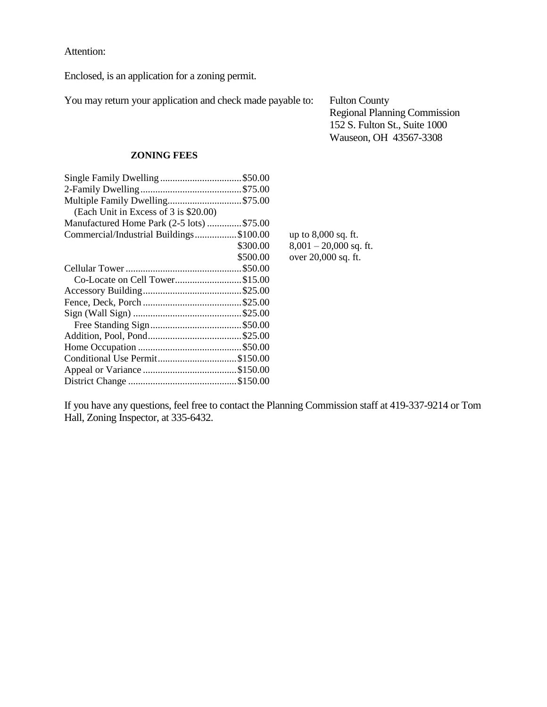Attention:

Enclosed, is an application for a zoning permit.

You may return your application and check made payable to: Fulton County

Regional Planning Commission 152 S. Fulton St., Suite 1000 Wauseon, OH 43567-3308

## **ZONING FEES**

| Single Family Dwelling \$50.00            |
|-------------------------------------------|
|                                           |
| Multiple Family Dwelling\$75.00           |
|                                           |
| Manufactured Home Park (2-5 lots) \$75.00 |
| Commercial/Industrial Buildings\$100.00   |
| \$300.00                                  |
| \$500.00                                  |
|                                           |
| Co-Locate on Cell Tower\$15.00            |
|                                           |
|                                           |
|                                           |
|                                           |
|                                           |
|                                           |
| Conditional Use Permit\$150.00            |
|                                           |
|                                           |
|                                           |

up to  $8,000$  sq. ft.  $8,001 - 20,000$  sq. ft. over  $20,000$  sq. ft.

If you have any questions, feel free to contact the Planning Commission staff at 419-337-9214 or Tom Hall, Zoning Inspector, at 335-6432.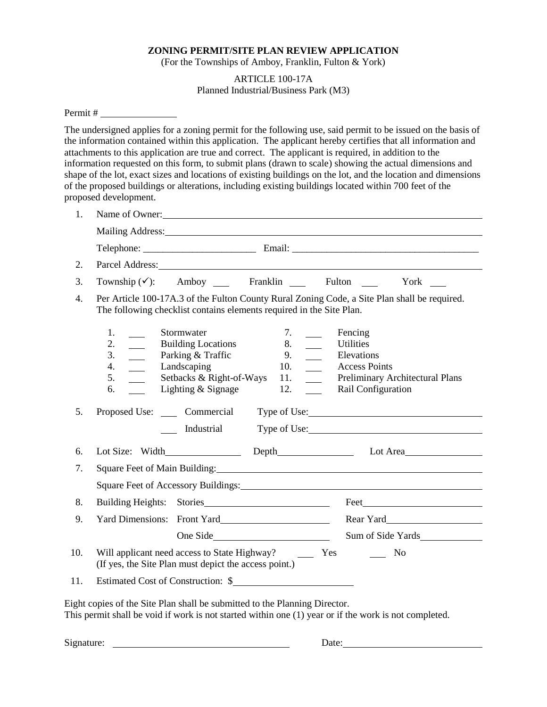## **ZONING PERMIT/SITE PLAN REVIEW APPLICATION**

(For the Townships of Amboy, Franklin, Fulton & York)

## ARTICLE 100-17A Planned Industrial/Business Park (M3)

## Permit #

The undersigned applies for a zoning permit for the following use, said permit to be issued on the basis of the information contained within this application. The applicant hereby certifies that all information and attachments to this application are true and correct. The applicant is required, in addition to the information requested on this form, to submit plans (drawn to scale) showing the actual dimensions and shape of the lot, exact sizes and locations of existing buildings on the lot, and the location and dimensions of the proposed buildings or alterations, including existing buildings located within 700 feet of the proposed development.

| 1.  | Name of Owner:                                                                                                                                                                                                                                                                                                                                                                                                    |  |  |
|-----|-------------------------------------------------------------------------------------------------------------------------------------------------------------------------------------------------------------------------------------------------------------------------------------------------------------------------------------------------------------------------------------------------------------------|--|--|
|     |                                                                                                                                                                                                                                                                                                                                                                                                                   |  |  |
|     |                                                                                                                                                                                                                                                                                                                                                                                                                   |  |  |
| 2.  | Parcel Address: No. 1996. The Second Second Second Second Second Second Second Second Second Second Second Second Second Second Second Second Second Second Second Second Second Second Second Second Second Second Second Sec                                                                                                                                                                                    |  |  |
| 3.  | Amboy ____ Franklin ____ Fulton<br>Township $(\checkmark)$ :<br>York $\qquad$                                                                                                                                                                                                                                                                                                                                     |  |  |
| 4.  | Per Article 100-17A.3 of the Fulton County Rural Zoning Code, a Site Plan shall be required.<br>The following checklist contains elements required in the Site Plan.                                                                                                                                                                                                                                              |  |  |
|     | Stormwater<br>Fencing<br>1.<br>7.<br>8.<br>2.<br><b>Building Locations</b><br>$\overline{\phantom{a}}$<br><b>Utilities</b><br>3.<br>Parking & Traffic<br>$\frac{1}{2}$<br>Elevations<br>9.<br>Landscaping<br><b>Access Points</b><br>4.<br>10.<br>$\sim$<br>5.<br>Setbacks & Right-of-Ways<br>Preliminary Architectural Plans<br>11.<br>$\sim$ 100 $\mu$<br>Lighting & Signage<br>Rail Configuration<br>12.<br>6. |  |  |
| 5.  | Proposed Use: Commercial<br>Type of Use:<br>Industrial<br>Type of Use:                                                                                                                                                                                                                                                                                                                                            |  |  |
| 6.  | Lot Area                                                                                                                                                                                                                                                                                                                                                                                                          |  |  |
| 7.  | Square Feet of Main Building: 1996 and 2008 and 2009 and 2010 and 2010 and 2010 and 2010 and 2010 and 2010 and 2010 and 2010 and 2010 and 2010 and 2010 and 2010 and 2010 and 2010 and 2010 and 2010 and 2010 and 2010 and 201                                                                                                                                                                                    |  |  |
|     | Square Feet of Accessory Buildings: Manual Accessory Buildings: Manual Accessory Buildings:                                                                                                                                                                                                                                                                                                                       |  |  |
| 8.  |                                                                                                                                                                                                                                                                                                                                                                                                                   |  |  |
| 9.  | Rear Yard<br>Yard Dimensions: Front Yard                                                                                                                                                                                                                                                                                                                                                                          |  |  |
|     | Sum of Side Yards<br>One Side                                                                                                                                                                                                                                                                                                                                                                                     |  |  |
| 10. | Will applicant need access to State Highway?<br>$\equiv$ Yes<br>N <sub>0</sub><br>(If yes, the Site Plan must depict the access point.)                                                                                                                                                                                                                                                                           |  |  |
| 11. | Estimated Cost of Construction: \$                                                                                                                                                                                                                                                                                                                                                                                |  |  |

Eight copies of the Site Plan shall be submitted to the Planning Director. This permit shall be void if work is not started within one (1) year or if the work is not completed.

Signature: Date: